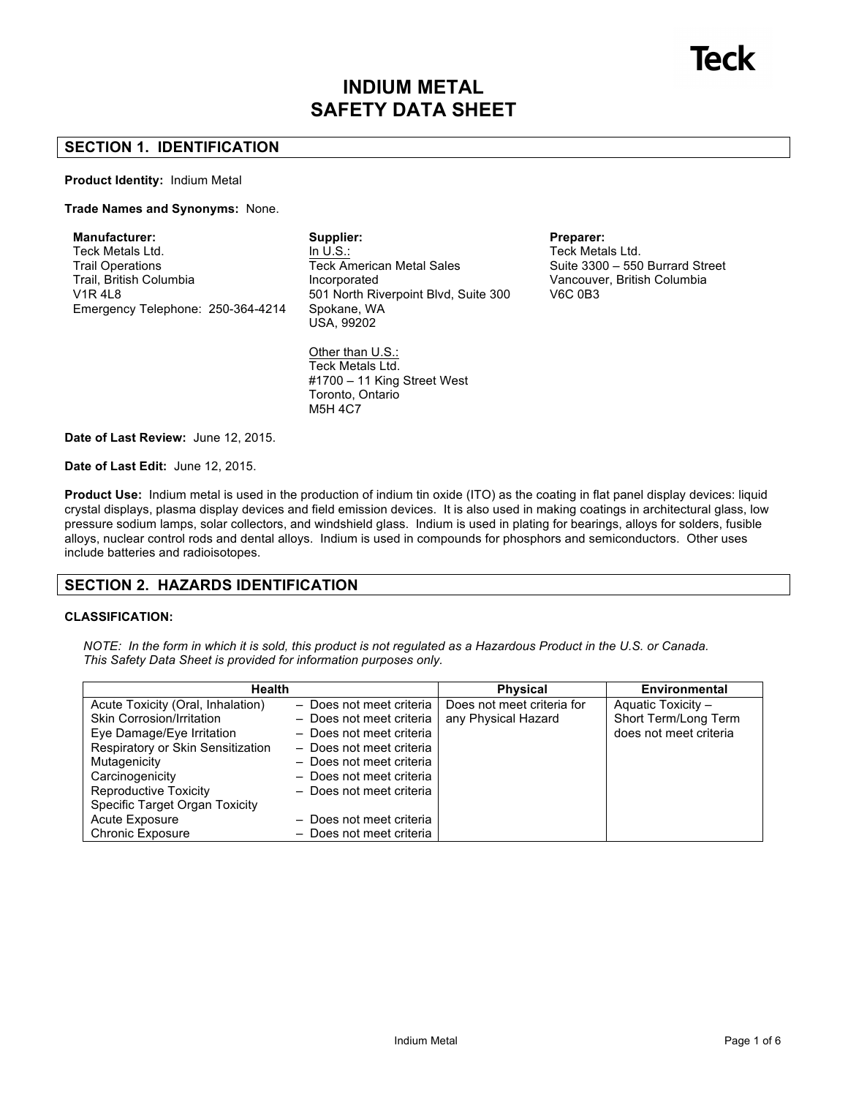# **INDIUM METAL SAFETY DATA SHEET**

# **SECTION 1. IDENTIFICATION**

#### **Product Identity:** Indium Metal

### **Trade Names and Synonyms:** None.

**Manufacturer:** Teck Metals Ltd. Trail Operations Trail, British Columbia V1R 4L8 Emergency Telephone: 250-364-4214 **Supplier:** In U.S.: Teck American Metal Sales Incorporated 501 North Riverpoint Blvd, Suite 300 Spokane, WA USA, 99202

Other than U.S.: Teck Metals Ltd. #1700 – 11 King Street West Toronto, Ontario M5H 4C7

**Preparer:** Teck Metals Ltd. Suite 3300 – 550 Burrard Street Vancouver, British Columbia V6C 0B3

**Date of Last Review:** June 12, 2015.

**Date of Last Edit:** June 12, 2015.

**Product Use:** Indium metal is used in the production of indium tin oxide (ITO) as the coating in flat panel display devices: liquid crystal displays, plasma display devices and field emission devices. It is also used in making coatings in architectural glass, low pressure sodium lamps, solar collectors, and windshield glass. Indium is used in plating for bearings, alloys for solders, fusible alloys, nuclear control rods and dental alloys. Indium is used in compounds for phosphors and semiconductors. Other uses include batteries and radioisotopes.

# **SECTION 2. HAZARDS IDENTIFICATION**

### **CLASSIFICATION:**

*NOTE: In the form in which it is sold, this product is not regulated as a Hazardous Product in the U.S. or Canada. This Safety Data Sheet is provided for information purposes only.*

| <b>Health</b>                     |                          | <b>Physical</b>            | <b>Environmental</b>   |
|-----------------------------------|--------------------------|----------------------------|------------------------|
| Acute Toxicity (Oral, Inhalation) | - Does not meet criteria | Does not meet criteria for | Aquatic Toxicity -     |
| Skin Corrosion/Irritation         | - Does not meet criteria | any Physical Hazard        | Short Term/Long Term   |
| Eye Damage/Eye Irritation         | - Does not meet criteria |                            | does not meet criteria |
| Respiratory or Skin Sensitization | - Does not meet criteria |                            |                        |
| Mutagenicity                      | - Does not meet criteria |                            |                        |
| Carcinogenicity                   | - Does not meet criteria |                            |                        |
| <b>Reproductive Toxicity</b>      | - Does not meet criteria |                            |                        |
| Specific Target Organ Toxicity    |                          |                            |                        |
| Acute Exposure                    | - Does not meet criteria |                            |                        |
| <b>Chronic Exposure</b>           | - Does not meet criteria |                            |                        |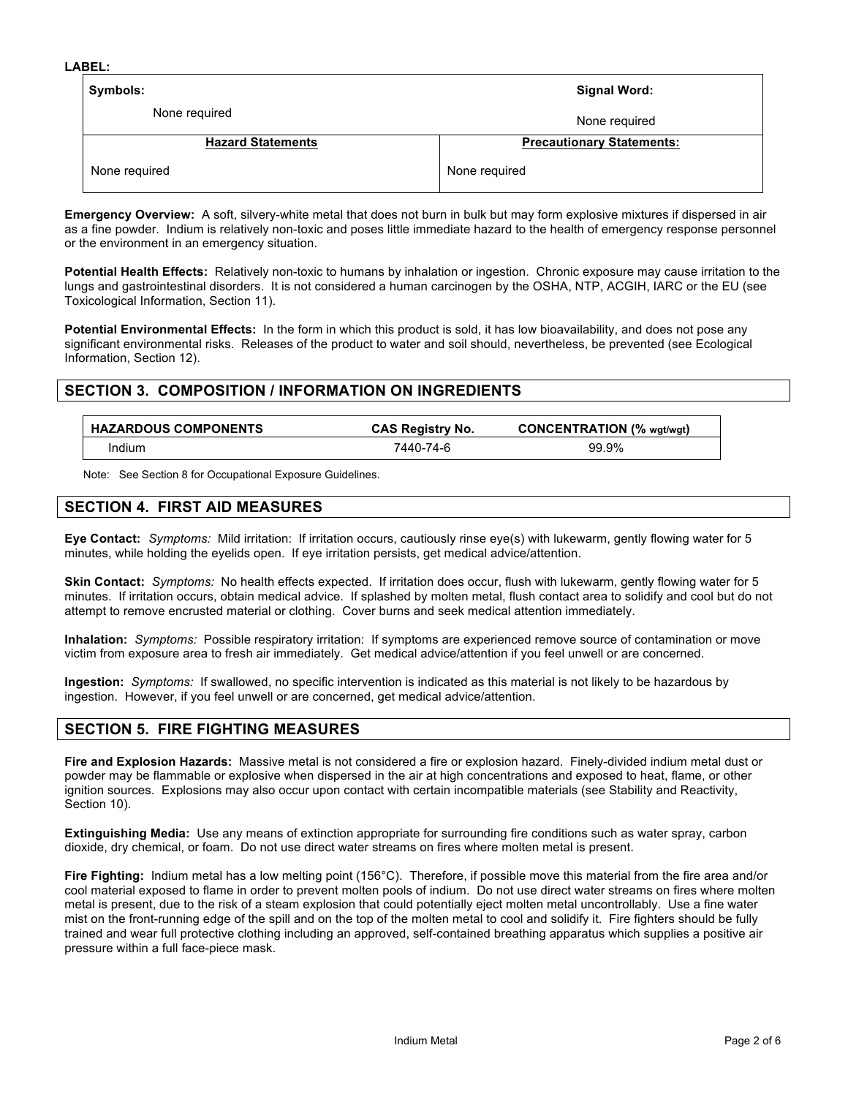| Symbols:                 | Signal Word:                     |  |
|--------------------------|----------------------------------|--|
| None required            | None required                    |  |
| <b>Hazard Statements</b> | <b>Precautionary Statements:</b> |  |
| None required            | None required                    |  |

**Emergency Overview:** A soft, silvery-white metal that does not burn in bulk but may form explosive mixtures if dispersed in air as a fine powder. Indium is relatively non-toxic and poses little immediate hazard to the health of emergency response personnel or the environment in an emergency situation.

**Potential Health Effects:** Relatively non-toxic to humans by inhalation or ingestion. Chronic exposure may cause irritation to the lungs and gastrointestinal disorders. It is not considered a human carcinogen by the OSHA, NTP, ACGIH, IARC or the EU (see Toxicological Information, Section 11).

**Potential Environmental Effects:** In the form in which this product is sold, it has low bioavailability, and does not pose any significant environmental risks. Releases of the product to water and soil should, nevertheless, be prevented (see Ecological Information, Section 12).

# **SECTION 3. COMPOSITION / INFORMATION ON INGREDIENTS**

| <b>HAZARDOUS COMPONENTS</b> | <b>CAS Registry No.</b> | <b>CONCENTRATION (% wat/wat)</b> |
|-----------------------------|-------------------------|----------------------------------|
| Indium                      | 7440-74-6               | 99.9%                            |

Note: See Section 8 for Occupational Exposure Guidelines.

# **SECTION 4. FIRST AID MEASURES**

**Eye Contact:** *Symptoms:* Mild irritation: If irritation occurs, cautiously rinse eye(s) with lukewarm, gently flowing water for 5 minutes, while holding the eyelids open. If eye irritation persists, get medical advice/attention.

**Skin Contact:** *Symptoms:* No health effects expected. If irritation does occur, flush with lukewarm, gently flowing water for 5 minutes. If irritation occurs, obtain medical advice. If splashed by molten metal, flush contact area to solidify and cool but do not attempt to remove encrusted material or clothing. Cover burns and seek medical attention immediately.

**Inhalation:** *Symptoms:* Possible respiratory irritation: If symptoms are experienced remove source of contamination or move victim from exposure area to fresh air immediately. Get medical advice/attention if you feel unwell or are concerned.

**Ingestion:** *Symptoms:* If swallowed, no specific intervention is indicated as this material is not likely to be hazardous by ingestion. However, if you feel unwell or are concerned, get medical advice/attention.

# **SECTION 5. FIRE FIGHTING MEASURES**

**Fire and Explosion Hazards:** Massive metal is not considered a fire or explosion hazard. Finely-divided indium metal dust or powder may be flammable or explosive when dispersed in the air at high concentrations and exposed to heat, flame, or other ignition sources. Explosions may also occur upon contact with certain incompatible materials (see Stability and Reactivity, Section 10).

**Extinguishing Media:** Use any means of extinction appropriate for surrounding fire conditions such as water spray, carbon dioxide, dry chemical, or foam. Do not use direct water streams on fires where molten metal is present.

**Fire Fighting:** Indium metal has a low melting point (156°C). Therefore, if possible move this material from the fire area and/or cool material exposed to flame in order to prevent molten pools of indium. Do not use direct water streams on fires where molten metal is present, due to the risk of a steam explosion that could potentially eject molten metal uncontrollably. Use a fine water mist on the front-running edge of the spill and on the top of the molten metal to cool and solidify it. Fire fighters should be fully trained and wear full protective clothing including an approved, self-contained breathing apparatus which supplies a positive air pressure within a full face-piece mask.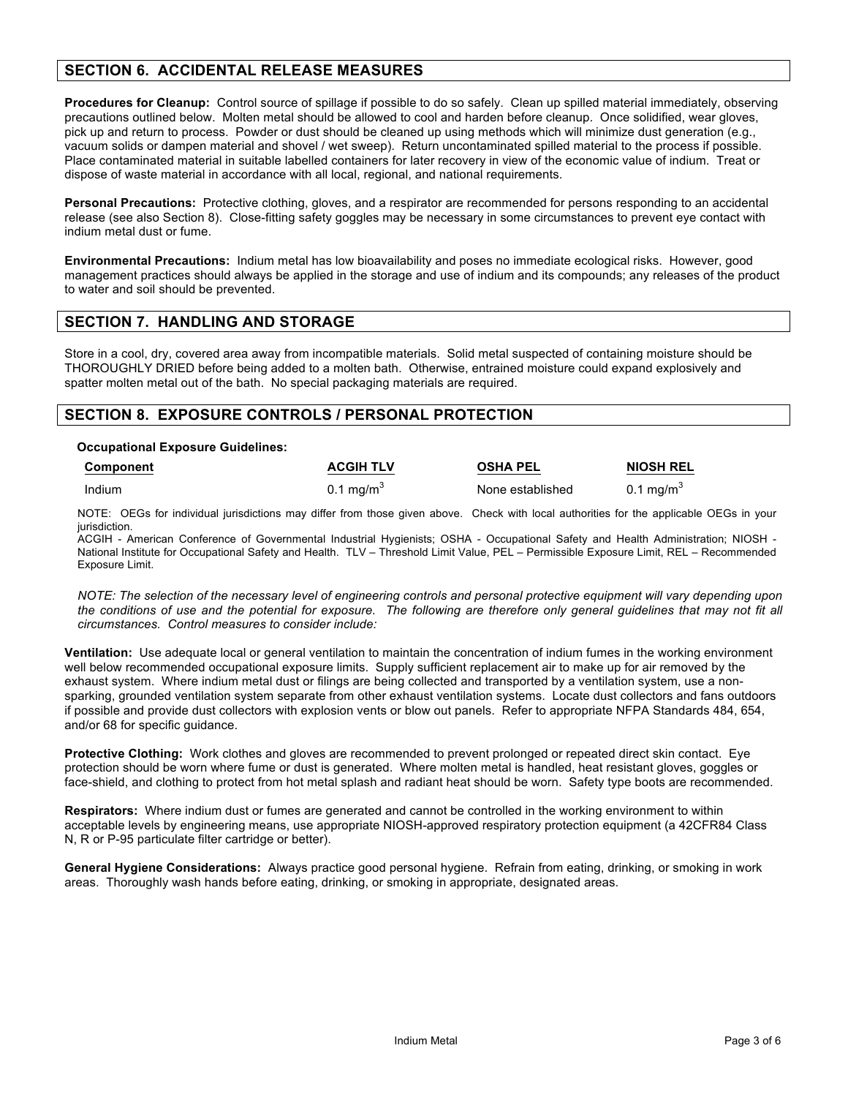# **SECTION 6. ACCIDENTAL RELEASE MEASURES**

**Procedures for Cleanup:** Control source of spillage if possible to do so safely. Clean up spilled material immediately, observing precautions outlined below. Molten metal should be allowed to cool and harden before cleanup. Once solidified, wear gloves, pick up and return to process. Powder or dust should be cleaned up using methods which will minimize dust generation (e.g., vacuum solids or dampen material and shovel / wet sweep). Return uncontaminated spilled material to the process if possible. Place contaminated material in suitable labelled containers for later recovery in view of the economic value of indium. Treat or dispose of waste material in accordance with all local, regional, and national requirements.

**Personal Precautions:** Protective clothing, gloves, and a respirator are recommended for persons responding to an accidental release (see also Section 8). Close-fitting safety goggles may be necessary in some circumstances to prevent eye contact with indium metal dust or fume.

**Environmental Precautions:** Indium metal has low bioavailability and poses no immediate ecological risks. However, good management practices should always be applied in the storage and use of indium and its compounds; any releases of the product to water and soil should be prevented.

# **SECTION 7. HANDLING AND STORAGE**

Store in a cool, dry, covered area away from incompatible materials. Solid metal suspected of containing moisture should be THOROUGHLY DRIED before being added to a molten bath. Otherwise, entrained moisture could expand explosively and spatter molten metal out of the bath. No special packaging materials are required.

# **SECTION 8. EXPOSURE CONTROLS / PERSONAL PROTECTION**

#### **Occupational Exposure Guidelines:**

| Component | <b>ACGIH TLV</b>      | <b>OSHA PEL</b>  | <b>NIOSH REL</b>      |
|-----------|-----------------------|------------------|-----------------------|
| Indium    | 0.1 mg/m <sup>3</sup> | None established | 0.1 mg/m <sup>3</sup> |

NOTE: OEGs for individual jurisdictions may differ from those given above. Check with local authorities for the applicable OEGs in your jurisdiction.

ACGIH - American Conference of Governmental Industrial Hygienists; OSHA - Occupational Safety and Health Administration; NIOSH - National Institute for Occupational Safety and Health. TLV – Threshold Limit Value, PEL – Permissible Exposure Limit, REL – Recommended Exposure Limit.

*NOTE: The selection of the necessary level of engineering controls and personal protective equipment will vary depending upon the conditions of use and the potential for exposure. The following are therefore only general guidelines that may not fit all circumstances. Control measures to consider include:*

**Ventilation:** Use adequate local or general ventilation to maintain the concentration of indium fumes in the working environment well below recommended occupational exposure limits. Supply sufficient replacement air to make up for air removed by the exhaust system. Where indium metal dust or filings are being collected and transported by a ventilation system, use a nonsparking, grounded ventilation system separate from other exhaust ventilation systems. Locate dust collectors and fans outdoors if possible and provide dust collectors with explosion vents or blow out panels. Refer to appropriate NFPA Standards 484, 654, and/or 68 for specific guidance.

**Protective Clothing:** Work clothes and gloves are recommended to prevent prolonged or repeated direct skin contact. Eye protection should be worn where fume or dust is generated. Where molten metal is handled, heat resistant gloves, goggles or face-shield, and clothing to protect from hot metal splash and radiant heat should be worn. Safety type boots are recommended.

**Respirators:** Where indium dust or fumes are generated and cannot be controlled in the working environment to within acceptable levels by engineering means, use appropriate NIOSH-approved respiratory protection equipment (a 42CFR84 Class N, R or P-95 particulate filter cartridge or better).

**General Hygiene Considerations:** Always practice good personal hygiene. Refrain from eating, drinking, or smoking in work areas. Thoroughly wash hands before eating, drinking, or smoking in appropriate, designated areas.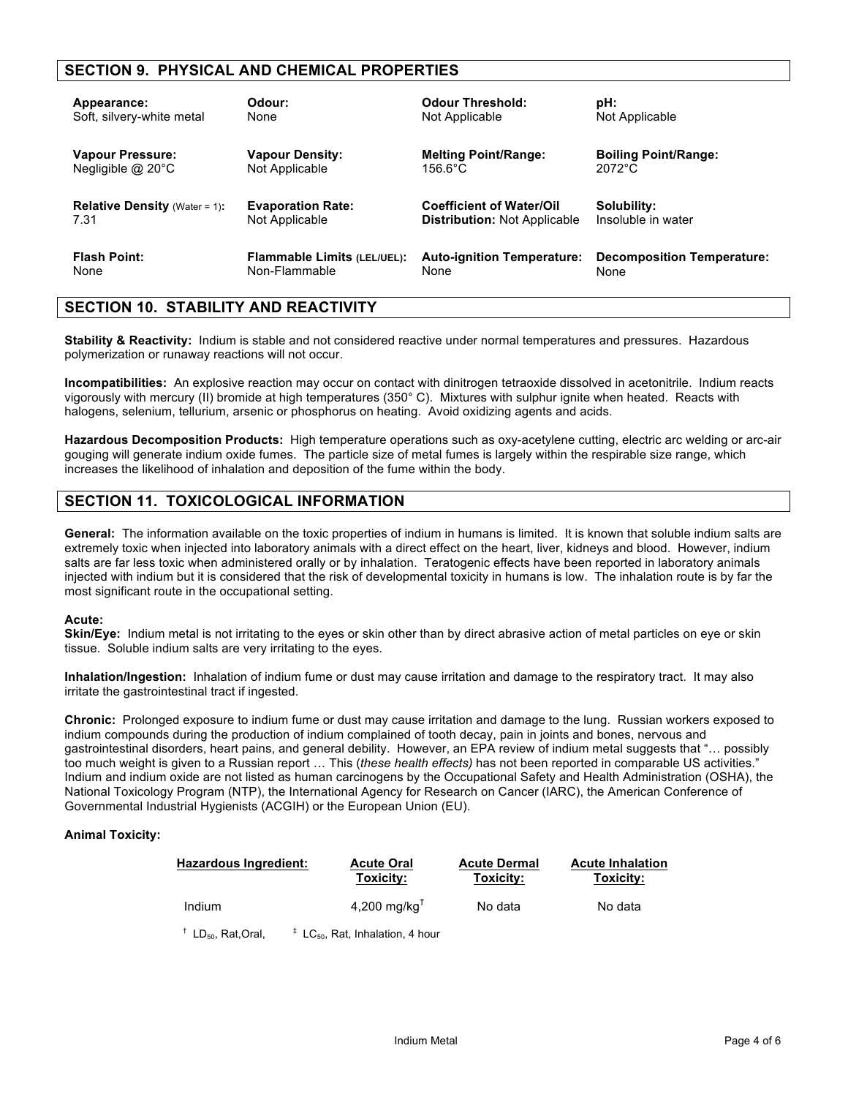# **SECTION 9. PHYSICAL AND CHEMICAL PROPERTIES**

| Appearance:                          | Odour:                             | <b>Odour Threshold:</b>             | pH:                               |
|--------------------------------------|------------------------------------|-------------------------------------|-----------------------------------|
| Soft, silvery-white metal            | None                               | Not Applicable                      | Not Applicable                    |
| Vapour Pressure:                     | <b>Vapour Density:</b>             | <b>Melting Point/Range:</b>         | <b>Boiling Point/Range:</b>       |
| Negligible $@$ 20 $^{\circ}$ C       | Not Applicable                     | $156.6^{\circ}$ C                   | $2072^{\circ}$ C                  |
| <b>Relative Density</b> (Water = 1): | <b>Evaporation Rate:</b>           | <b>Coefficient of Water/Oil</b>     | Solubility:                       |
| 7.31                                 | Not Applicable                     | <b>Distribution: Not Applicable</b> | Insoluble in water                |
| <b>Flash Point:</b>                  | <b>Flammable Limits (LEL/UEL):</b> | <b>Auto-ignition Temperature:</b>   | <b>Decomposition Temperature:</b> |
| None                                 | Non-Flammable                      | None                                | None                              |

# **SECTION 10. STABILITY AND REACTIVITY**

**Stability & Reactivity:** Indium is stable and not considered reactive under normal temperatures and pressures. Hazardous polymerization or runaway reactions will not occur.

**Incompatibilities:** An explosive reaction may occur on contact with dinitrogen tetraoxide dissolved in acetonitrile. Indium reacts vigorously with mercury (II) bromide at high temperatures (350° C). Mixtures with sulphur ignite when heated. Reacts with halogens, selenium, tellurium, arsenic or phosphorus on heating. Avoid oxidizing agents and acids.

**Hazardous Decomposition Products:** High temperature operations such as oxy-acetylene cutting, electric arc welding or arc-air gouging will generate indium oxide fumes. The particle size of metal fumes is largely within the respirable size range, which increases the likelihood of inhalation and deposition of the fume within the body.

# **SECTION 11. TOXICOLOGICAL INFORMATION**

**General:** The information available on the toxic properties of indium in humans is limited. It is known that soluble indium salts are extremely toxic when injected into laboratory animals with a direct effect on the heart, liver, kidneys and blood. However, indium salts are far less toxic when administered orally or by inhalation. Teratogenic effects have been reported in laboratory animals injected with indium but it is considered that the risk of developmental toxicity in humans is low. The inhalation route is by far the most significant route in the occupational setting.

#### **Acute:**

**Skin/Eye:** Indium metal is not irritating to the eyes or skin other than by direct abrasive action of metal particles on eye or skin tissue. Soluble indium salts are very irritating to the eyes.

**Inhalation/Ingestion:** Inhalation of indium fume or dust may cause irritation and damage to the respiratory tract. It may also irritate the gastrointestinal tract if ingested.

**Chronic:** Prolonged exposure to indium fume or dust may cause irritation and damage to the lung. Russian workers exposed to indium compounds during the production of indium complained of tooth decay, pain in joints and bones, nervous and gastrointestinal disorders, heart pains, and general debility. However, an EPA review of indium metal suggests that "… possibly too much weight is given to a Russian report … This (*these health effects)* has not been reported in comparable US activities." Indium and indium oxide are not listed as human carcinogens by the Occupational Safety and Health Administration (OSHA), the National Toxicology Program (NTP), the International Agency for Research on Cancer (IARC), the American Conference of Governmental Industrial Hygienists (ACGIH) or the European Union (EU).

### **Animal Toxicity:**

| <b>Hazardous Ingredient:</b>      | <b>Acute Oral</b><br>Toxicity:                   | <b>Acute Dermal</b><br>Toxicity: | <b>Acute Inhalation</b><br>Toxicity: |
|-----------------------------------|--------------------------------------------------|----------------------------------|--------------------------------------|
| Indium                            | 4,200 mg/kg $T$                                  | No data                          | No data                              |
| $†$ LD <sub>50</sub> , Rat, Oral, | $\pm$ LC <sub>50</sub> , Rat, Inhalation, 4 hour |                                  |                                      |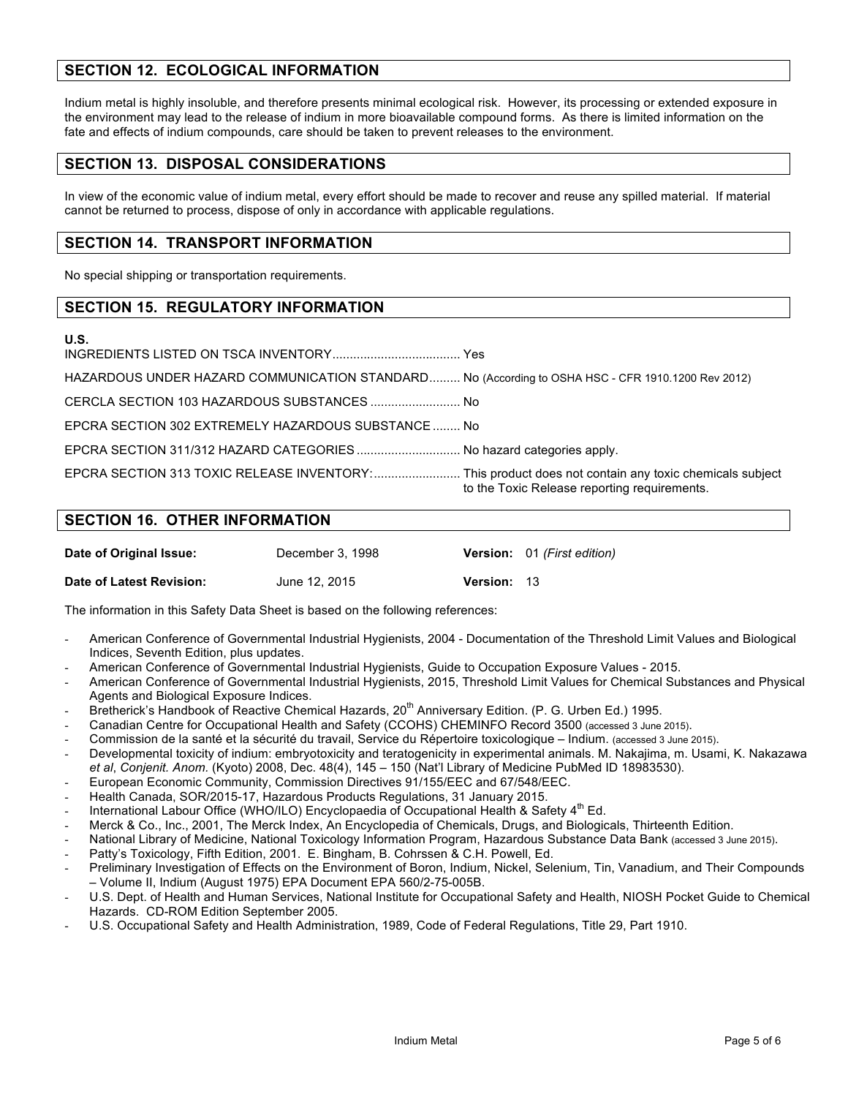# **SECTION 12. ECOLOGICAL INFORMATION**

Indium metal is highly insoluble, and therefore presents minimal ecological risk. However, its processing or extended exposure in the environment may lead to the release of indium in more bioavailable compound forms. As there is limited information on the fate and effects of indium compounds, care should be taken to prevent releases to the environment.

# **SECTION 13. DISPOSAL CONSIDERATIONS**

In view of the economic value of indium metal, every effort should be made to recover and reuse any spilled material. If material cannot be returned to process, dispose of only in accordance with applicable regulations.

# **SECTION 14. TRANSPORT INFORMATION**

No special shipping or transportation requirements.

# **SECTION 15. REGULATORY INFORMATION**

### **U.S.**

| HAZARDOUS UNDER HAZARD COMMUNICATION STANDARD No (According to OSHA HSC - CFR 1910.1200 Rev 2012)    |                                              |
|------------------------------------------------------------------------------------------------------|----------------------------------------------|
| CERCLA SECTION 103 HAZARDOUS SUBSTANCES  No                                                          |                                              |
| EPCRA SECTION 302 EXTREMELY HAZARDOUS SUBSTANCE No                                                   |                                              |
| EPCRA SECTION 311/312 HAZARD CATEGORIES  No hazard categories apply.                                 |                                              |
| EPCRA SECTION 313 TOXIC RELEASE INVENTORY: This product does not contain any toxic chemicals subject | to the Toxic Release reporting requirements. |

# **SECTION 16. OTHER INFORMATION**

| Date of Original Issue:  | December 3, 1998 |                    | Version: 01 (First edition) |
|--------------------------|------------------|--------------------|-----------------------------|
| Date of Latest Revision: | June 12, 2015    | <b>Version: 13</b> |                             |

The information in this Safety Data Sheet is based on the following references:

- American Conference of Governmental Industrial Hygienists, 2004 Documentation of the Threshold Limit Values and Biological Indices, Seventh Edition, plus updates.
- American Conference of Governmental Industrial Hygienists, Guide to Occupation Exposure Values 2015.
- American Conference of Governmental Industrial Hygienists, 2015, Threshold Limit Values for Chemical Substances and Physical Agents and Biological Exposure Indices.
- Bretherick's Handbook of Reactive Chemical Hazards, 20<sup>th</sup> Anniversary Edition. (P. G. Urben Ed.) 1995.
- Canadian Centre for Occupational Health and Safety (CCOHS) CHEMINFO Record 3500 (accessed 3 June 2015).
- Commission de la santé et la sécurité du travail, Service du Répertoire toxicologique Indium. (accessed 3 June 2015).
- Developmental toxicity of indium: embryotoxicity and teratogenicity in experimental animals. M. Nakajima, m. Usami, K. Nakazawa *et al*, *Conjenit. Anom.* (Kyoto) 2008, Dec. 48(4), 145 – 150 (Nat'l Library of Medicine PubMed ID 18983530).
- European Economic Community, Commission Directives 91/155/EEC and 67/548/EEC.
- Health Canada, SOR/2015-17, Hazardous Products Regulations, 31 January 2015.
- International Labour Office (WHO/ILO) Encyclopaedia of Occupational Health & Safety  $4^{\text{th}}$  Ed.
- Merck & Co., Inc., 2001, The Merck Index, An Encyclopedia of Chemicals, Drugs, and Biologicals, Thirteenth Edition.
- National Library of Medicine, National Toxicology Information Program, Hazardous Substance Data Bank (accessed 3 June 2015).
- Patty's Toxicology, Fifth Edition, 2001. E. Bingham, B. Cohrssen & C.H. Powell, Ed.
- Preliminary Investigation of Effects on the Environment of Boron, Indium, Nickel, Selenium, Tin, Vanadium, and Their Compounds – Volume II, Indium (August 1975) EPA Document EPA 560/2-75-005B.
- U.S. Dept. of Health and Human Services, National Institute for Occupational Safety and Health, NIOSH Pocket Guide to Chemical Hazards. CD-ROM Edition September 2005.
- U.S. Occupational Safety and Health Administration, 1989, Code of Federal Regulations, Title 29, Part 1910.